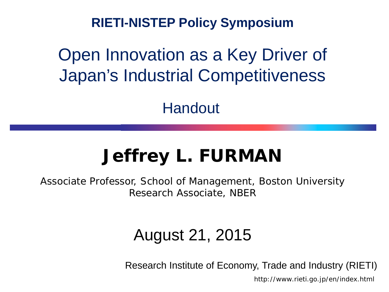**RIETI-NISTEP Policy Symposium**

## Open Innovation as a Key Driver of Japan's Industrial Competitiveness

Handout

# **Jeffrey L. FURMAN**

Associate Professor, School of Management, Boston University Research Associate, NBER

### August 21, 2015

Research Institute of Economy, Trade and Industry (RIETI)

http://www.rieti.go.jp/en/index.html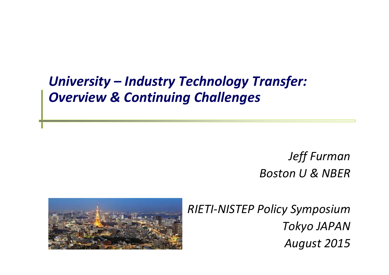### *University – Industry Technology Transfer: Overview & Continuing Challenges*

*Jeff Furman Boston U & NBER*



*RIETI‐NISTEP Policy Symposium Tokyo JAPAN August 2015*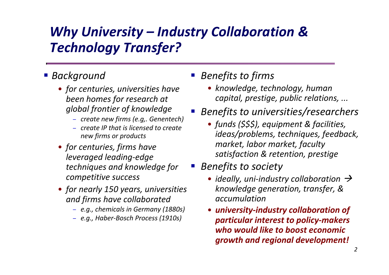## *Why University – Industry Collaboration & Technology Transfer?*

 $\mathbb{R}^3$ 

#### *Background*

- *for centuries, universities have been homes for research at global frontier of knowledge*
	- − *create new firms (e.g,. Genentech)*
	- − *create IP that is licensed to create new firms or products*
- *for centuries, firms have leveraged leading‐edge techniques and knowledge for competitive success*
- *for nearly 150 years, universities and firms have collaborated*
	- − *e.g., chemicals in Germany (1880s)*
	- − *e.g., Haber‐Bosch Process (1910s)*

#### *Benefits to firms*

- *knowledge, technology, human capital, prestige, public relations, ...*
- $\mathbb{R}^3$  *Benefits to universities/researchers*
	- *funds (\$\$\$), equipment & facilities, ideas/problems, techniques, feedback, market, labor market, faculty satisfaction & retention, prestige*
	- *Benefits to society*
		- *ideally, uni‐industry collaboration knowledge generation, transfer, & accumulation*
		- *university‐industry collaboration of particular interest to policy‐makers who would like to boost economic growth and regional development!*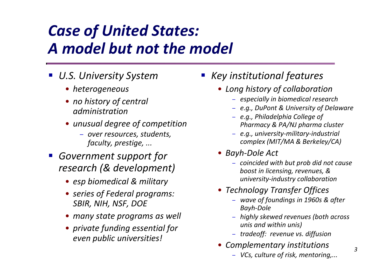# *Case of United States: A model but not the model*

- *U.S. University System*
	- *heterogeneous*
	- *no history of central administration*
	- *unusual degree of competition*
		- − *over resources, students, faculty, prestige, ...*
- *Government support for research (& development)*
	- *esp biomedical & military*
	- *series of Federal programs: SBIR, NIH, NSF, DOE*
	- *many state programs as well*
	- *private funding essential for even public universities!*
- *Key institutional features*
	- *Long history of collaboration*
		- − *especially in biomedical research*
		- − *e.g., DuPont & University of Delaware*
		- − *e.g., Philadelphia College of Pharmacy & PA/NJ pharma cluster*
		- − *e.g., university‐military‐industrial complex (MIT/MA & Berkeley/CA)*
	- *Bayh ‐Dole Act*
		- − *coincided with but prob did not cause boost in licensing, revenues, & university‐industry collaboration*
	- *Technology Transfer Offices*
		- − *wave of foundings in 1960s & after Bayh‐Dole*
		- − *highly skewed revenues (both across unis and within unis)*
		- − *tradeoff: revenue vs. diffusion*
	- *Complementary institutions*
		- − *VCs, culture of risk, mentoring,...*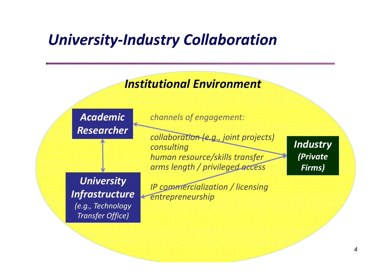## *University‐Industry Collaboration*

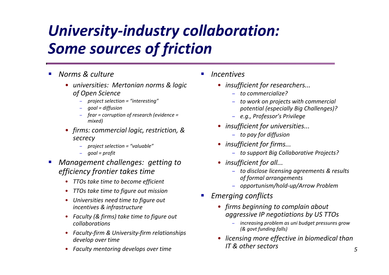# *University ‐industry collaboration: Some sources of friction*

- Г *Norms & culture*
	- *universities: Mertonian norms & logic of Open Science*
		- − *project selection = "interesting"*
		- *goal = diffusion*
		- − *fear = corruption of research (evidence = mixed)*
	- *firms: commercial logic, restriction, & secrecy*
		- − *project selection = "valuable"*
		- − *goal = profit*
- Г *Management challenges: getting to efficiency frontier takes time*
	- $\bullet$ *TTOs take time to become efficient*
	- •*TTOs take time to figure out mission*
	- *Universities need time to figure out incentives & infrastructure*
	- *Faculty (& firms) take time to figure out collaborations*
	- *Faculty‐firm & University‐firm relationships develop over time*
	- *Faculty mentoring develops over time*
- П *Incentives*
	- *insufficient for researchers...*
		- − *to commercialize?*
		- − *to work on projects with commercial potential (especially Big Challenges)?*
		- − *e.g., Professor's Privilege*
	- *insufficient for universities...*
		- − *to pay for diffusion*
	- *insufficient for firms...*
		- − *to support Big Collaborative Projects?*
	- *insufficient for all...*
		- − *to disclose licensing agreements & results of formal arrangements*
		- − *opportunism/hold‐up/Arrow Problem*
- П *Emerging conflicts*
	- *firms beginning to complain about aggressive IP negotiations by US TTOs*
		- − *increasing problem as uni budget pressures grow (& govt funding falls)*
	- *licensing more effective in biomedical than IT& other sectors*